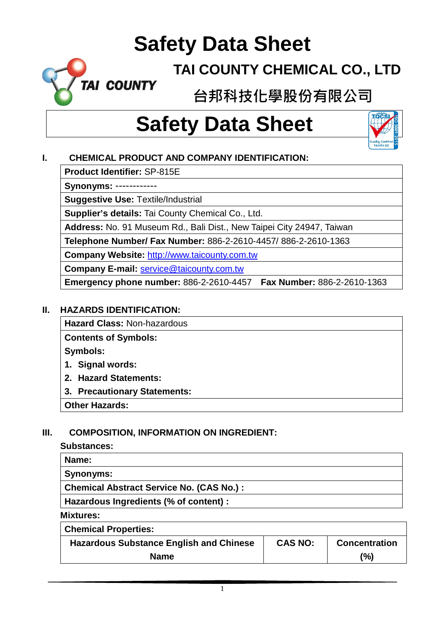# **TAI COUNTY CHEMICAL CO., LTD**

**台邦科技化學股份有限公司**

# **Safety Data Sheet**



# **I. CHEMICAL PRODUCT AND COMPANY IDENTIFICATION:**

**Product Identifier:** SP-815E

TAI COUNTY

**Synonyms:** ------------

**Suggestive Use:** Textile/Industrial

**Supplier's details:** Tai County Chemical Co., Ltd.

**Address:** No. 91 Museum Rd., Bali Dist., New Taipei City 24947, Taiwan

**Telephone Number/ Fax Number:** 886-2-2610-4457/ 886-2-2610-1363

**Company Website:** [http://www.taicounty.com.tw](http://www.taicounty.com.tw/)

**Company E-mail:** [service@taicounty.com.tw](mailto:service@taicounty.com.tw)

**Emergency phone number:** 886-2-2610-4457 **Fax Number:** 886-2-2610-1363

#### **II. HAZARDS IDENTIFICATION:**

**Hazard Class:** Non-hazardous

**Contents of Symbols:**

**Symbols:**

- **1. Signal words:**
- **2. Hazard Statements:**
- **3. Precautionary Statements:**

**Other Hazards:**

# **III. COMPOSITION, INFORMATION ON INGREDIENT:**

#### **Substances:**

| Name:                                     |
|-------------------------------------------|
| Synonyms:                                 |
| Chemical Abstract Service No. (CAS No.) : |
| Hazardous Ingredients (% of content) :    |

**Mixtures:**

| <b>Chemical Properties:</b>                    |                |                      |
|------------------------------------------------|----------------|----------------------|
| <b>Hazardous Substance English and Chinese</b> | <b>CAS NO:</b> | <b>Concentration</b> |
| <b>Name</b>                                    |                | (%)                  |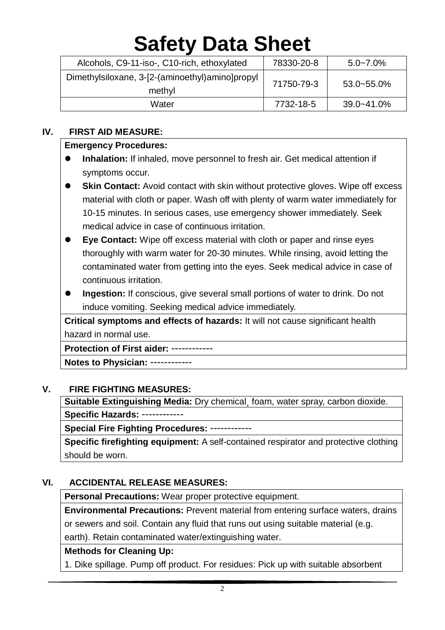| Alcohols, C9-11-iso-, C10-rich, ethoxylated               | 78330-20-8 | $5.0 - 7.0\%$   |
|-----------------------------------------------------------|------------|-----------------|
| Dimethylsiloxane, 3-[2-(aminoethyl)amino]propyl<br>methyl | 71750-79-3 | $53.0 - 55.0\%$ |
| Water                                                     | 7732-18-5  | 39.0~41.0%      |

#### **IV. FIRST AID MEASURE:**

#### **Emergency Procedures:**

- **Inhalation:** If inhaled, move personnel to fresh air. Get medical attention if symptoms occur.
- **Skin Contact:** Avoid contact with skin without protective gloves. Wipe off excess material with cloth or paper. Wash off with plenty of warm water immediately for 10-15 minutes. In serious cases, use emergency shower immediately. Seek medical advice in case of continuous irritation.
- **Eye Contact:** Wipe off excess material with cloth or paper and rinse eyes thoroughly with warm water for 20-30 minutes. While rinsing, avoid letting the contaminated water from getting into the eyes. Seek medical advice in case of continuous irritation.
- **Ingestion:** If conscious, give several small portions of water to drink. Do not induce vomiting. Seeking medical advice immediately.

**Critical symptoms and effects of hazards:** It will not cause significant health hazard in normal use.

**Protection of First aider:** ------------

**Notes to Physician:** ------------

#### **V. FIRE FIGHTING MEASURES:**

**Suitable Extinguishing Media:** Dry chemical¸ foam, water spray, carbon dioxide. **Specific Hazards:** ------------

**Special Fire Fighting Procedures:** ------------

**Specific firefighting equipment:** A self-contained respirator and protective clothing should be worn.

#### **VI. ACCIDENTAL RELEASE MEASURES:**

**Personal Precautions:** Wear proper protective equipment.

**Environmental Precautions:** Prevent material from entering surface waters, drains or sewers and soil. Contain any fluid that runs out using suitable material (e.g. earth). Retain contaminated water/extinguishing water.

#### **Methods for Cleaning Up:**

1. Dike spillage. Pump off product. For residues: Pick up with suitable absorbent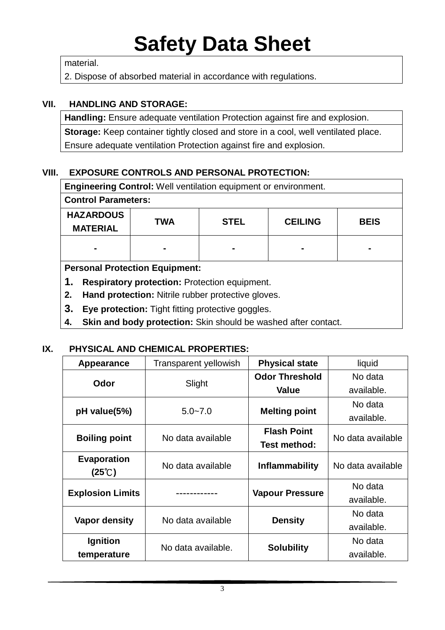material.

2. Dispose of absorbed material in accordance with regulations.

#### **VII. HANDLING AND STORAGE:**

**Handling:** Ensure adequate ventilation Protection against fire and explosion. **Storage:** Keep container tightly closed and store in a cool, well ventilated place. Ensure adequate ventilation Protection against fire and explosion.

# **VIII. EXPOSURE CONTROLS AND PERSONAL PROTECTION:**

| <b>Engineering Control:</b> Well ventilation equipment or environment. |             |                |             |  |  |
|------------------------------------------------------------------------|-------------|----------------|-------------|--|--|
| <b>Control Parameters:</b>                                             |             |                |             |  |  |
| <b>TWA</b>                                                             | <b>STEL</b> | <b>CEILING</b> | <b>BEIS</b> |  |  |
|                                                                        |             |                |             |  |  |
| <b>Personal Protection Equipment:</b>                                  |             |                |             |  |  |
| 1.<br><b>Respiratory protection: Protection equipment.</b>             |             |                |             |  |  |
| Hand protection: Nitrile rubber protective gloves.<br>2.               |             |                |             |  |  |
|                                                                        |             |                |             |  |  |

- **3. Eye protection:** Tight fitting protective goggles.
- **4. Skin and body protection:** Skin should be washed after contact.

# **IX. PHYSICAL AND CHEMICAL PROPERTIES:**

| Appearance                              | <b>Transparent yellowish</b> | <b>Physical state</b>              | liquid            |                   |
|-----------------------------------------|------------------------------|------------------------------------|-------------------|-------------------|
| Odor                                    | Slight                       | <b>Odor Threshold</b>              | No data           |                   |
|                                         |                              | Value                              | available.        |                   |
|                                         |                              | <b>Melting point</b>               | No data           |                   |
| pH value(5%)                            | $5.0 - 7.0$                  |                                    | available.        |                   |
|                                         |                              | <b>Flash Point</b><br>Test method: |                   |                   |
| <b>Boiling point</b>                    | No data available            |                                    | No data available |                   |
| Evaporation                             | No data available            |                                    |                   | No data available |
| $(25^{\circ}\text{C})$                  |                              | <b>Inflammability</b>              |                   |                   |
| <b>Explosion Limits</b><br>. <b>.</b> . |                              |                                    | No data           |                   |
|                                         |                              | <b>Vapour Pressure</b>             | available.        |                   |
| <b>Vapor density</b>                    | No data available            |                                    | No data           |                   |
|                                         |                              | <b>Density</b>                     | available.        |                   |
| <b>Ignition</b>                         | No data available.           |                                    |                   | No data           |
| temperature                             |                              | <b>Solubility</b>                  | available.        |                   |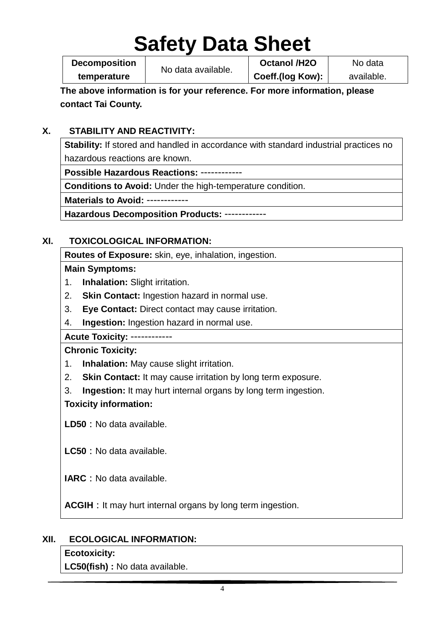**Decomposition temperature**

No data available.

**Octanol /H2O Coeff.(log Kow):**

No data available.

**The above information is for your reference. For more information, please contact Tai County.**

# **X. STABILITY AND REACTIVITY:**

**Stability:** If stored and handled in accordance with standard industrial practices no hazardous reactions are known.

**Possible Hazardous Reactions:** ------------

**Conditions to Avoid:** Under the high-temperature condition.

**Materials to Avoid:** ------------

**Hazardous Decomposition Products:** ------------

# **XI. TOXICOLOGICAL INFORMATION:**

**Routes of Exposure:** skin, eye, inhalation, ingestion.

# **Main Symptoms:**

- 1. **Inhalation:** Slight irritation.
- 2. **Skin Contact:** Ingestion hazard in normal use.
- 3. **Eye Contact:** Direct contact may cause irritation.
- 4. **Ingestion:** Ingestion hazard in normal use.

# **Acute Toxicity:** ------------

# **Chronic Toxicity:**

- 1. **Inhalation:** May cause slight irritation.
- 2. **Skin Contact:** It may cause irritation by long term exposure.
- 3. **Ingestion:** It may hurt internal organs by long term ingestion.

# **Toxicity information:**

**LD50:**No data available.

**LC50:**No data available.

**IARC:**No data available.

**ACGIH** : It may hurt internal organs by long term ingestion.

# **XII. ECOLOGICAL INFORMATION:**

# **Ecotoxicity:**

**LC50(fish) :** No data available.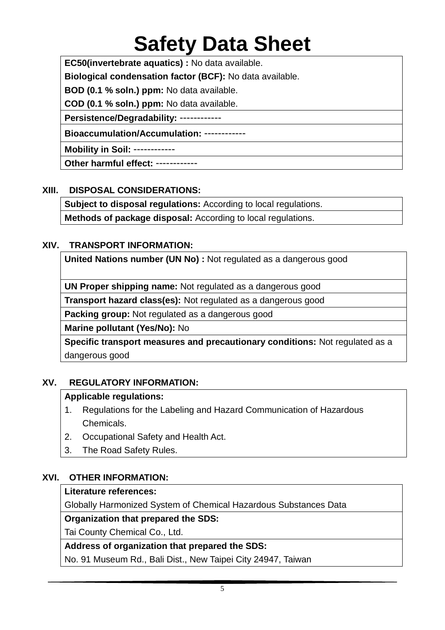**EC50(invertebrate aquatics) :** No data available.

**Biological condensation factor (BCF):** No data available.

**BOD (0.1 % soln.) ppm:** No data available.

**COD (0.1 % soln.) ppm:** No data available.

**Persistence/Degradability:** ------------

**Bioaccumulation/Accumulation:** ------------

**Mobility in Soil:** ------------

**Other harmful effect:** ------------

### **XIII. DISPOSAL CONSIDERATIONS:**

**Subject to disposal regulations:** According to local regulations.

**Methods of package disposal:** According to local regulations.

### **XIV. TRANSPORT INFORMATION:**

**United Nations number (UN No) :** Not regulated as a dangerous good

**UN Proper shipping name:** Not regulated as a dangerous good

**Transport hazard class(es):** Not regulated as a dangerous good

**Packing group:** Not regulated as a dangerous good

**Marine pollutant (Yes/No):** No

**Specific transport measures and precautionary conditions:** Not regulated as a dangerous good

# **XV. REGULATORY INFORMATION:**

#### **Applicable regulations:**

- 1. Regulations for the Labeling and Hazard Communication of Hazardous Chemicals.
- 2. Occupational Safety and Health Act.
- 3. The Road Safety Rules.

# **XVI. OTHER INFORMATION:**

#### **Literature references:**

Globally Harmonized System of Chemical Hazardous Substances Data

#### **Organization that prepared the SDS:**

Tai County Chemical Co., Ltd.

#### **Address of organization that prepared the SDS:**

No. 91 Museum Rd., Bali Dist., New Taipei City 24947, Taiwan